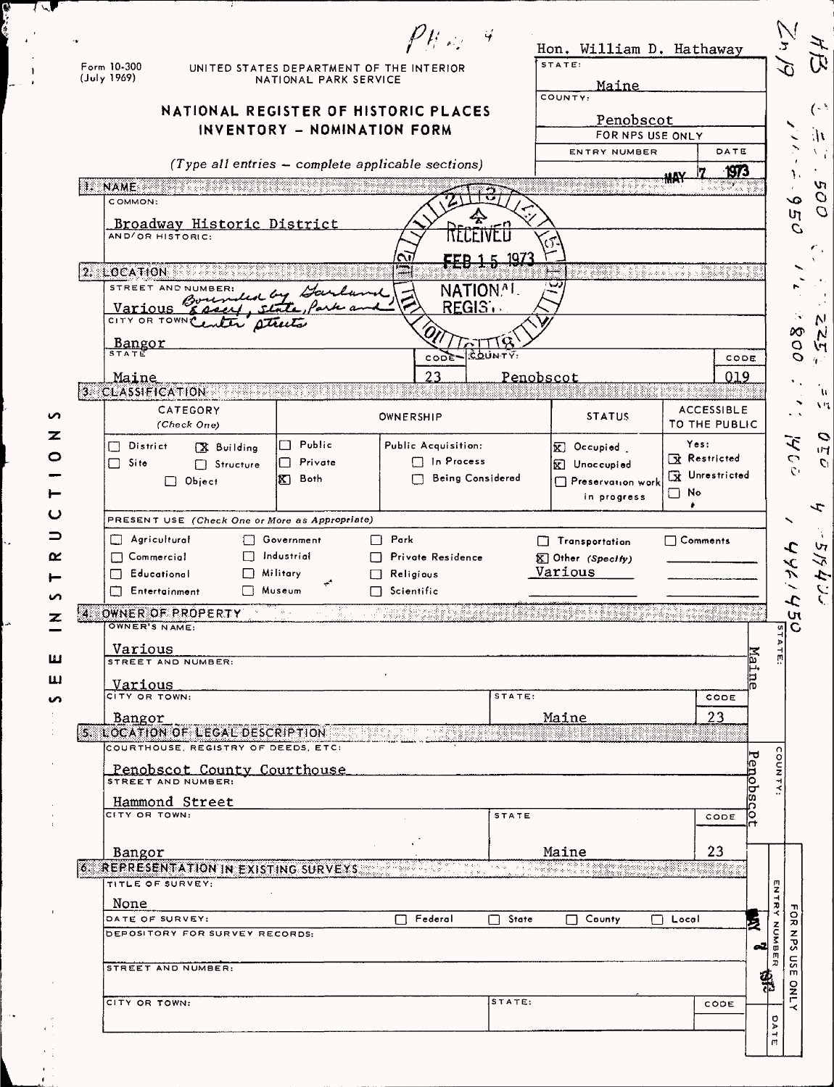| Form 10-300<br>(July 1969)                   |                                                   | NATIONAL PARK SERVICE      | $P$ $\mu \gg 4$<br>UNITED STATES DEPARTMENT OF THE INTERIOR |                         | Hon. William D. Hathaway<br>STATE:         |                           |
|----------------------------------------------|---------------------------------------------------|----------------------------|-------------------------------------------------------------|-------------------------|--------------------------------------------|---------------------------|
|                                              | NATIONAL REGISTER OF HISTORIC PLACES              |                            | INVENTORY - NOMINATION FORM                                 |                         | Maine<br>COUNTY:<br>Penobscot              | FOR NPS USE ONLY          |
|                                              |                                                   |                            | $(Type all entries - complete applicable sections)$         |                         | ENTRY NUMBER                               | DATE                      |
|                                              | IL NAME AND THE TABLE IS A REAL PROPERTY.         |                            |                                                             |                         |                                            | <u>1973</u><br>۸W         |
| COMMON:                                      |                                                   |                            |                                                             |                         |                                            |                           |
| AND/OR HISTORIC:                             | Broadway Historic District                        |                            |                                                             | u ivel                  |                                            |                           |
|                                              |                                                   |                            |                                                             | FFR 1 5 197             |                                            |                           |
|                                              | 2. LOCATION SERVICES 20<br>STREET AND NUMBER:     | by Garland                 |                                                             | NATION <sup>AL</sup>    |                                            | ere et de la component de |
| Various                                      |                                                   |                            |                                                             | <b>REGIST</b>           |                                            |                           |
|                                              | CITY OR TOWN Center streets                       |                            |                                                             |                         |                                            |                           |
| Bangor<br>STATE                              |                                                   |                            | CODE                                                        | COUNTY:                 |                                            | CODE                      |
| Maine                                        |                                                   |                            | 23                                                          |                         | Penobscot                                  | 019                       |
| 3 CLASSIFICATION                             | CATEGORY                                          |                            |                                                             |                         |                                            | <b>ACCESSIBLE</b>         |
|                                              | (Check One)                                       |                            | OWNERSHIP                                                   |                         | <b>STATUS</b>                              | TO THE PUBLIC             |
| District<br>m.                               | X Building                                        | Public                     | Public Acquisition:                                         |                         | K Occupied                                 | Yes:<br>Restricted        |
| $\Box$ Site                                  | Structure<br>Object                               | $\sqcap$ Private<br>K Both | $\Box$ In Process                                           | <b>Being Considered</b> | <b>K</b> Unoccupied<br>Preservation work   | X Unrestricted            |
|                                              |                                                   |                            |                                                             |                         | in progress                                | $\Box$ No<br>ž.           |
|                                              | PRESENT USE (Check One or More as Appropriate)    |                            |                                                             |                         |                                            |                           |
| $\Box$ Agricultural                          |                                                   | □ Government               | $\Box$ Park                                                 |                         | <b>Transportation</b>                      | $\Box$ Comments           |
| $\Box$ Commercial                            |                                                   | $\Box$ Industrial          | □ Private Residence                                         |                         | <b>K</b> Other (Specify)                   |                           |
|                                              |                                                   |                            |                                                             |                         |                                            |                           |
| $\Box$ Educational<br><b>T</b> Entertainment | $\Box$ Military                                   | Museum                     | $\Box$ Religious<br>$\Box$ Scientific                       |                         | Various                                    |                           |
| $\cdot$ 4.                                   | OWNER OF PROPERTY                                 | <b>Brita</b>               |                                                             |                         |                                            |                           |
| OWNER'S NAME:                                |                                                   |                            |                                                             |                         |                                            |                           |
| Various                                      | STREET AND NUMBER:                                |                            |                                                             |                         |                                            |                           |
| Various                                      |                                                   |                            |                                                             |                         |                                            | Maine                     |
| CITY OR TOWN:                                |                                                   |                            |                                                             | STATE:                  |                                            | CODE                      |
| Bangor                                       | 5. LOCATION OF LEGAL DESCRIPTION AND RESERVED     |                            |                                                             |                         | Maine                                      | 23                        |
|                                              | COURTHOUSE, REGISTRY OF DEEDS, ETC:               |                            |                                                             |                         |                                            |                           |
|                                              | Penobscot County Courthouse<br>STREET AND NUMBER: |                            |                                                             |                         |                                            |                           |
|                                              | Hammond Street                                    |                            |                                                             |                         |                                            | Penobsc                   |
| CITY OR TOWN:                                |                                                   |                            |                                                             | <b>STATE</b>            |                                            | ĪО<br>CODE<br>Η           |
| Bangor                                       |                                                   |                            |                                                             |                         | Maine                                      | 23                        |
|                                              | 6. REPRESENTATION IN EXISTING SURVEYS CONTROL     |                            |                                                             |                         | DI DI PRIMERINA NY FISIANA ARA-DIA FINANTA |                           |
| TITLE OF SURVEY:                             |                                                   |                            |                                                             |                         |                                            |                           |
| None<br>DATE OF SURVEY:                      |                                                   |                            | $\Box$ Federal                                              | $\Box$ State            | $\Box$ County                              | □ Local                   |
|                                              | DEPOSITORY FOR SURVEY RECORDS:                    |                            |                                                             |                         |                                            | 2ء                        |
|                                              | STREET AND NUMBER:                                |                            |                                                             |                         |                                            |                           |
| CITY OR TOWN:                                |                                                   |                            |                                                             | STATE:                  |                                            | ф<br>1                    |

 $\mathbf{L}$ 

 $\overline{4}$ 

 $\ddot{\phantom{0}}$ 

 $\overline{a}$ 

 $\ddot{\phantom{a}}$ 

 $\frac{1}{\sqrt{2}}$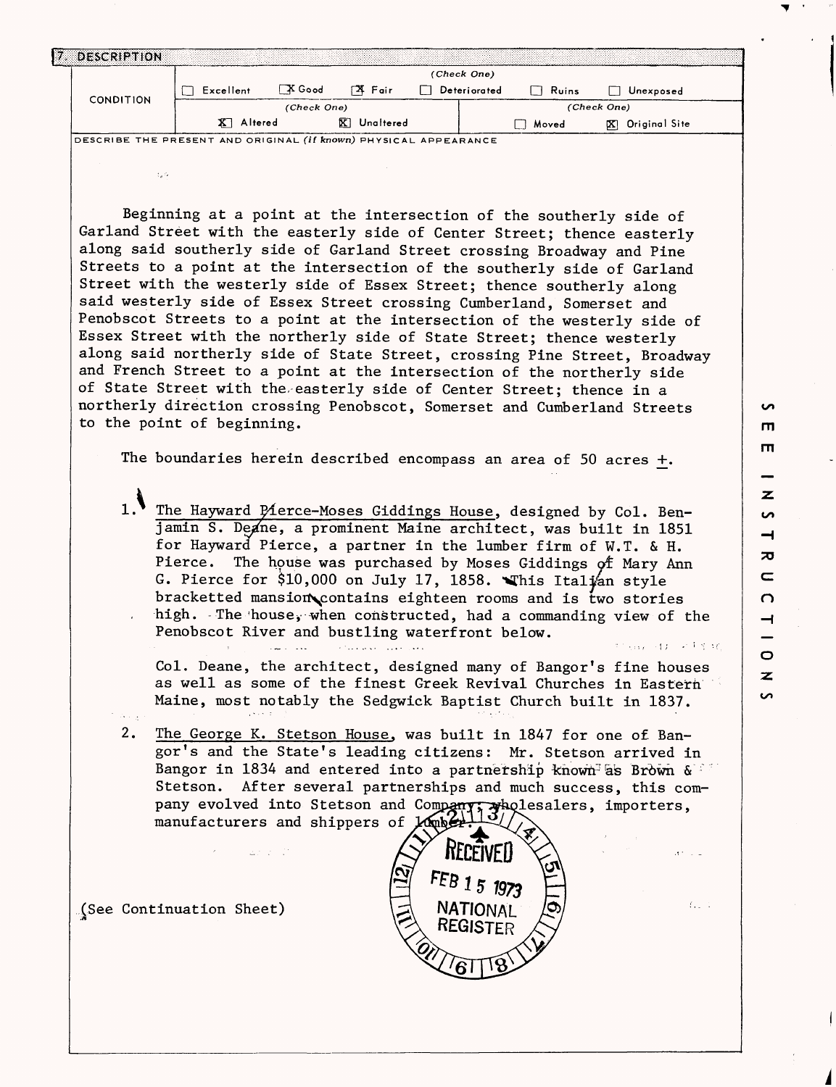|                  |           |                 |                     | (Check One)  |                       |                    |
|------------------|-----------|-----------------|---------------------|--------------|-----------------------|--------------------|
| <b>CONDITION</b> | Excellent | $\sqrt{X}$ Good | Γ <sup>2</sup> Fair | Deteriorated | Ruins<br>$\mathsf{L}$ | Unexposed          |
|                  |           | (Check One)     |                     |              |                       | (Check One)        |
|                  | Altered   |                 | ⊠<br>Unaltered      |              | Moved                 | Original Site<br>∞ |

Beginning at a point at the intersection of the southerly side of Garland Street with the easterly side of Center Street; thence easterly along said southerly side of Garland Street crossing Broadway and Pine Streets to a point at the intersection of the southerly side of Garland Street with the westerly side of Essex Street; thence southerly along said westerly side of Essex Street crossing Cumberland, Somerset and Penobscot Streets to a point at the intersection of the westerly side of Essex Street with the northerly side of State Street; thence westerly along said northerly side of State Street, crossing Pine Street, Broadway and French Street to a point at the intersection of the northerly side of State Street with the- easterly side of Center Street; thence in a northerly direction crossing Penobscot, Somerset and Cumberland Streets to the point of beginning.

The boundaries herein described encompass an area of 50 acres +.

1. The Hayward Pierce-Moses Giddings House, designed by Col. Benjamin S. Deane, a prominent Maine architect, was built in 1851 for Hayward Pierce, a partner in the lumber firm of W.T. & H. Pierce. The house was purchased by Moses Giddings of Mary Ann G. Pierce for \$10,000 on July 17, 1858. Whis Italian style bracketted mansion\contains eighteen rooms and is two stories high. The'house, when constructed, had a commanding view of the Penobscot River and bustling waterfront below.

a face of call a car is con-

Col. Deane, the architect, designed many of Bangor's fine houses as well as some of the finest Greek Revival Churches in Eastern Maine, most notably the Sedgwick Baptist Church built in 1837.

2. The George K. Stetson House, was built in 1847 for one of Bangor's and the State's leading citizens: Mr. Stetson arrived in Bangor in 1834 and entered into a partnership known as Brown  $\delta$ . Stetson. After several partnerships and much success, this company evolved into Stetson and Company: wholesalers, importers, manufacturers and shippers of Lumber

(See Continuation Sheet) *.A*



**rn rn** z **CO**  $\overline{\phantom{0}}$ ᅎ  $\mathbf{C}$  $\Omega$ ᅿ  $\bullet$  $\overline{\mathbf{z}}$ 

**S** 

经国际经济物 计声音时间

 $f_{1,1}$  (1)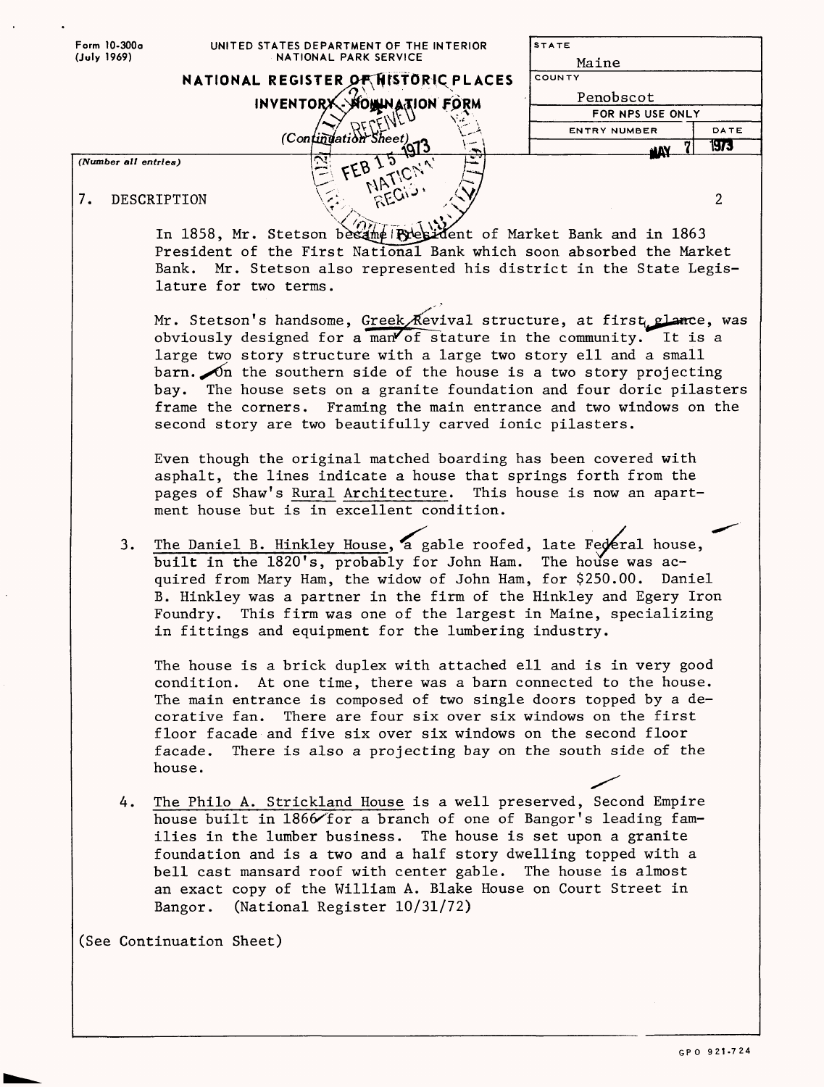|             | Form 10-300a         | UNITED STATES DEPARTMENT OF THE INTERIOR                                                                                                                                                                                                                                                                                                                                                                                          | <b>STATE</b>                    |
|-------------|----------------------|-----------------------------------------------------------------------------------------------------------------------------------------------------------------------------------------------------------------------------------------------------------------------------------------------------------------------------------------------------------------------------------------------------------------------------------|---------------------------------|
| (July 1969) |                      | NATIONAL PARK SERVICE                                                                                                                                                                                                                                                                                                                                                                                                             | Maine                           |
|             |                      | NATIONAL REGISTER OF HISTORIC PLACES                                                                                                                                                                                                                                                                                                                                                                                              | COUNTY                          |
|             |                      | INVENTORX - MOWINATION FORM                                                                                                                                                                                                                                                                                                                                                                                                       | Penobscot                       |
|             |                      |                                                                                                                                                                                                                                                                                                                                                                                                                                   | FOR NPS USE ONLY                |
|             |                      | (Continuation Sheet)                                                                                                                                                                                                                                                                                                                                                                                                              | DATE<br><b>ENTRY NUMBER</b>     |
|             |                      |                                                                                                                                                                                                                                                                                                                                                                                                                                   | <b>1973</b><br>ШY               |
|             | (Number all entries) | FEB I5<br><b>NATIONA</b>                                                                                                                                                                                                                                                                                                                                                                                                          |                                 |
|             |                      | RECIO                                                                                                                                                                                                                                                                                                                                                                                                                             |                                 |
| 7.          |                      | DESCRIPTION                                                                                                                                                                                                                                                                                                                                                                                                                       | $\overline{2}$                  |
|             |                      | In 1858, Mr. Stetson besame Rylesident of Market Bank and in 1863                                                                                                                                                                                                                                                                                                                                                                 |                                 |
|             |                      | President of the First National Bank which soon absorbed the Market                                                                                                                                                                                                                                                                                                                                                               |                                 |
|             |                      | Bank. Mr. Stetson also represented his district in the State Legis-                                                                                                                                                                                                                                                                                                                                                               |                                 |
|             |                      | lature for two terms.                                                                                                                                                                                                                                                                                                                                                                                                             |                                 |
|             |                      |                                                                                                                                                                                                                                                                                                                                                                                                                                   |                                 |
|             |                      | Mr. Stetson's handsome, Greek Revival structure, at first plance, was                                                                                                                                                                                                                                                                                                                                                             |                                 |
|             |                      | obviously designed for a man of stature in the community. It is a                                                                                                                                                                                                                                                                                                                                                                 |                                 |
|             |                      | large two story structure with a large two story ell and a small                                                                                                                                                                                                                                                                                                                                                                  |                                 |
|             |                      | barn. On the southern side of the house is a two story projecting                                                                                                                                                                                                                                                                                                                                                                 |                                 |
|             |                      | bay. The house sets on a granite foundation and four doric pilasters                                                                                                                                                                                                                                                                                                                                                              |                                 |
|             |                      | frame the corners. Framing the main entrance and two windows on the                                                                                                                                                                                                                                                                                                                                                               |                                 |
|             |                      | second story are two beautifully carved ionic pilasters.                                                                                                                                                                                                                                                                                                                                                                          |                                 |
|             |                      | Even though the original matched boarding has been covered with<br>asphalt, the lines indicate a house that springs forth from the                                                                                                                                                                                                                                                                                                |                                 |
|             |                      | pages of Shaw's Rural Architecture. This house is now an apart-<br>ment house but is in excellent condition.                                                                                                                                                                                                                                                                                                                      |                                 |
|             | 3.                   | The Daniel B. Hinkley House, a gable roofed, late Federal house,<br>built in the 1820's, probably for John Ham.<br>quired from Mary Ham, the widow of John Ham, for \$250.00.<br>B. Hinkley was a partner in the firm of the Hinkley and Egery Iron<br>Foundry. This firm was one of the largest in Maine, specializing<br>in fittings and equipment for the lumbering industry.                                                  | The house was ac-<br>Daniel     |
|             |                      | The house is a brick duplex with attached ell and is in very good<br>condition. At one time, there was a barn connected to the house.<br>The main entrance is composed of two single doors topped by a de-<br>corative fan.<br>There are four six over six windows on the first<br>floor facade and five six over six windows on the second floor<br>There is also a projecting bay on the south side of the<br>facade.<br>house. |                                 |
|             | 4.                   | The Philo A. Strickland House is a well preserved, Second Empire<br>house built in 1866 for a branch of one of Bangor's leading fam-<br>ilies in the lumber business.<br>foundation and is a two and a half story dwelling topped with a<br>bell cast mansard roof with center gable. The house is almost<br>an exact copy of the William A. Blake House on Court Street in<br>(National Register 10/31/72)<br>Bangor.            | The house is set upon a granite |
|             |                      | (See Continuation Sheet)                                                                                                                                                                                                                                                                                                                                                                                                          |                                 |

 $\sim$ 

 $\hat{\boldsymbol{\beta}}$ 

 $\ddot{\phantom{a}}$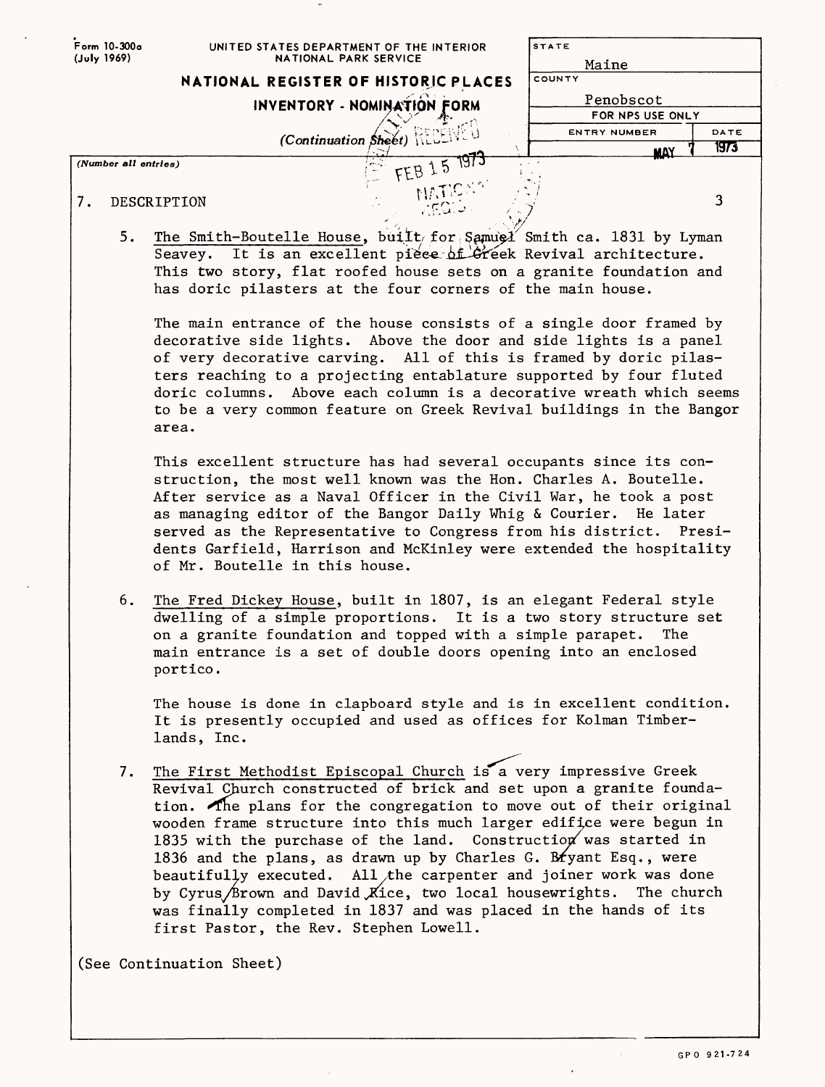| Form 10-300a<br>(July 1969) | UNITED STATES DEPARTMENT OF THE INTERIOR<br>NATIONAL PARK SERVICE                                                                      | <b>STATE</b>                  |      |  |
|-----------------------------|----------------------------------------------------------------------------------------------------------------------------------------|-------------------------------|------|--|
|                             |                                                                                                                                        | Maine<br>COUNTY               |      |  |
|                             | NATIONAL REGISTER OF HISTORIC PLACES                                                                                                   |                               |      |  |
|                             | <b>INVENTORY - NOMINATION FORM</b>                                                                                                     | Penobscot<br>FOR NPS USE ONLY |      |  |
|                             |                                                                                                                                        | <b>ENTRY NUMBER</b>           | DATE |  |
|                             | (Continuation Sheet)                                                                                                                   | <b>MAY</b>                    | 1973 |  |
|                             | FEB 15 1973<br>(Number all entries)                                                                                                    |                               |      |  |
|                             | <b>NATIC</b>                                                                                                                           |                               |      |  |
| 7.                          | DESCRIPTION<br>AEQID.                                                                                                                  |                               | 3    |  |
|                             |                                                                                                                                        |                               |      |  |
|                             | 5.<br>The Smith-Boutelle House, built for Samuel Smith ca. 1831 by Lyman                                                               |                               |      |  |
|                             | Seavey. It is an excellent piece of Greek Revival architecture.                                                                        |                               |      |  |
|                             | This two story, flat roofed house sets on a granite foundation and<br>has doric pilasters at the four corners of the main house.       |                               |      |  |
|                             |                                                                                                                                        |                               |      |  |
|                             | The main entrance of the house consists of a single door framed by                                                                     |                               |      |  |
|                             | decorative side lights. Above the door and side lights is a panel                                                                      |                               |      |  |
|                             | of very decorative carving. All of this is framed by doric pilas-                                                                      |                               |      |  |
|                             | ters reaching to a projecting entablature supported by four fluted                                                                     |                               |      |  |
|                             | doric columns. Above each column is a decorative wreath which seems                                                                    |                               |      |  |
|                             | to be a very common feature on Greek Revival buildings in the Bangor<br>area.                                                          |                               |      |  |
|                             |                                                                                                                                        |                               |      |  |
|                             | This excellent structure has had several occupants since its con-                                                                      |                               |      |  |
|                             | struction, the most well known was the Hon. Charles A. Boutelle.                                                                       |                               |      |  |
|                             | After service as a Naval Officer in the Civil War, he took a post                                                                      |                               |      |  |
|                             | as managing editor of the Bangor Daily Whig & Courier. He later                                                                        |                               |      |  |
|                             | served as the Representative to Congress from his district. Presi-                                                                     |                               |      |  |
|                             | dents Garfield, Harrison and McKinley were extended the hospitality                                                                    |                               |      |  |
|                             | of Mr. Boutelle in this house.                                                                                                         |                               |      |  |
|                             | The Fred Dickey House, built in 1807, is an elegant Federal style<br>6.                                                                |                               |      |  |
|                             | dwelling of a simple proportions. It is a two story structure set                                                                      |                               |      |  |
|                             | on a granite foundation and topped with a simple parapet.                                                                              | The                           |      |  |
|                             | main entrance is a set of double doors opening into an enclosed                                                                        |                               |      |  |
|                             | portico.                                                                                                                               |                               |      |  |
|                             |                                                                                                                                        |                               |      |  |
|                             | The house is done in clapboard style and is in excellent condition.<br>It is presently occupied and used as offices for Kolman Timber- |                               |      |  |
|                             | lands, Inc.                                                                                                                            |                               |      |  |
|                             |                                                                                                                                        |                               |      |  |
|                             | The First Methodist Episcopal Church is a very impressive Greek<br>7.                                                                  |                               |      |  |
|                             | Revival Church constructed of brick and set upon a granite founda-                                                                     |                               |      |  |
|                             | tion. The plans for the congregation to move out of their original                                                                     |                               |      |  |
|                             | wooden frame structure into this much larger edifice were begun in                                                                     |                               |      |  |
|                             | 1835 with the purchase of the land. Construction was started in<br>1836 and the plans, as drawn up by Charles G. Bryant Esq., were     |                               |      |  |
|                             | beautifully executed. All the carpenter and joiner work was done                                                                       |                               |      |  |
|                             | by Cyrus/Brown and David Kice, two local housewrights. The church                                                                      |                               |      |  |
|                             | was finally completed in 1837 and was placed in the hands of its                                                                       |                               |      |  |
|                             | first Pastor, the Rev. Stephen Lowell.                                                                                                 |                               |      |  |
|                             |                                                                                                                                        |                               |      |  |
|                             | (See Continuation Sheet)                                                                                                               |                               |      |  |
|                             |                                                                                                                                        |                               |      |  |
|                             |                                                                                                                                        |                               |      |  |

 $\hat{\mathcal{A}}$ 

 $\hat{\boldsymbol{\cdot}$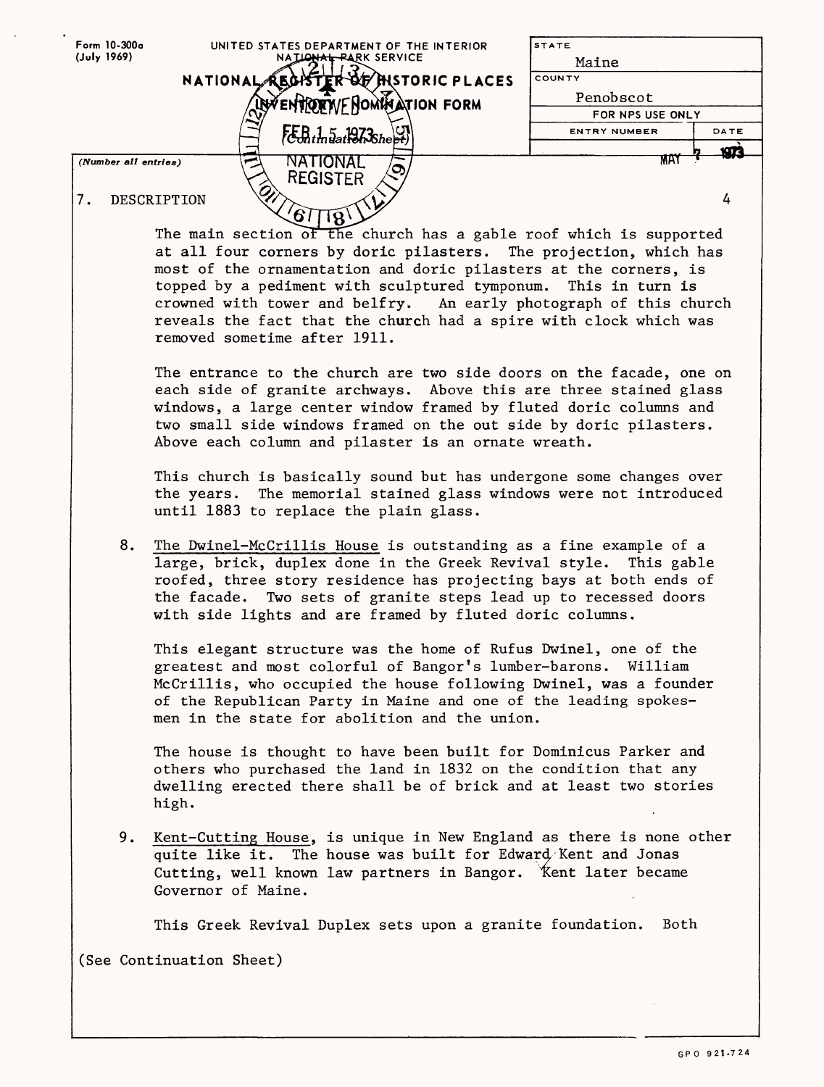| Form 10-300a<br>(July 1969) | UNITED STATES DEPARTMENT OF THE INTERIOR<br>NATIONAL PARK SERVICE                                                                      | <b>STATE</b><br>Maine |      |
|-----------------------------|----------------------------------------------------------------------------------------------------------------------------------------|-----------------------|------|
|                             |                                                                                                                                        | COUNTY                |      |
|                             | NATIONAL REGISTER OF HISTORIC PLACES                                                                                                   | Penobscot             |      |
|                             | entiorr/FNomination form                                                                                                               | FOR NPS USE ONLY      |      |
|                             |                                                                                                                                        | <b>ENTRY NUMBER</b>   | DATE |
|                             | $t_{\rm chdm}$ a 1973 $_{\rm sheet}$                                                                                                   |                       |      |
| (Number all entries)        | NATIONAL                                                                                                                               | MAY                   | ЮZ   |
|                             | <b>REGISTER</b>                                                                                                                        |                       |      |
| 7.                          | DESCRIPTION                                                                                                                            |                       | 4    |
|                             | 67<br>$\mathcal{L}(\mathcal{B})$                                                                                                       |                       |      |
|                             | The main section of the church has a gable roof which is supported                                                                     |                       |      |
|                             | at all four corners by doric pilasters. The projection, which has                                                                      |                       |      |
|                             | most of the ornamentation and doric pilasters at the corners, is                                                                       |                       |      |
|                             | topped by a pediment with sculptured tymponum. This in turn is                                                                         |                       |      |
|                             | crowned with tower and belfry. An early photograph of this church                                                                      |                       |      |
|                             | reveals the fact that the church had a spire with clock which was                                                                      |                       |      |
|                             | removed sometime after 1911.                                                                                                           |                       |      |
|                             |                                                                                                                                        |                       |      |
|                             | The entrance to the church are two side doors on the facade, one on                                                                    |                       |      |
|                             | each side of granite archways. Above this are three stained glass                                                                      |                       |      |
|                             | windows, a large center window framed by fluted doric columns and<br>two small side windows framed on the out side by doric pilasters. |                       |      |
|                             | Above each column and pilaster is an ornate wreath.                                                                                    |                       |      |
|                             |                                                                                                                                        |                       |      |
|                             | This church is basically sound but has undergone some changes over                                                                     |                       |      |
|                             | the years. The memorial stained glass windows were not introduced                                                                      |                       |      |
|                             | until 1883 to replace the plain glass.                                                                                                 |                       |      |
|                             |                                                                                                                                        |                       |      |
| 8.                          | The Dwinel-McCrillis House is outstanding as a fine example of a                                                                       |                       |      |
|                             | large, brick, duplex done in the Greek Revival style. This gable                                                                       |                       |      |
|                             | roofed, three story residence has projecting bays at both ends of                                                                      |                       |      |
|                             | Two sets of granite steps lead up to recessed doors<br>the facade.                                                                     |                       |      |
|                             | with side lights and are framed by fluted doric columns.                                                                               |                       |      |
|                             |                                                                                                                                        |                       |      |
|                             | This elegant structure was the home of Rufus Dwinel, one of the                                                                        |                       |      |
|                             | greatest and most colorful of Bangor's lumber-barons. William                                                                          |                       |      |
|                             | McCrillis, who occupied the house following Dwinel, was a founder<br>of the Republican Party in Maine and one of the leading spokes-   |                       |      |
|                             | men in the state for abolition and the union.                                                                                          |                       |      |
|                             |                                                                                                                                        |                       |      |
|                             | The house is thought to have been built for Dominicus Parker and                                                                       |                       |      |
|                             | others who purchased the land in 1832 on the condition that any                                                                        |                       |      |
|                             | dwelling erected there shall be of brick and at least two stories                                                                      |                       |      |
|                             | high.                                                                                                                                  |                       |      |
|                             |                                                                                                                                        |                       |      |
| 9.                          | Kent-Cutting House, is unique in New England as there is none other                                                                    |                       |      |
|                             | quite like it. The house was built for Edward Kent and Jonas                                                                           |                       |      |
|                             | Cutting, well known law partners in Bangor. Kent later became                                                                          |                       |      |
|                             | Governor of Maine.                                                                                                                     |                       |      |
|                             |                                                                                                                                        |                       |      |
|                             | This Greek Revival Duplex sets upon a granite foundation.                                                                              | Both                  |      |
|                             | (See Continuation Sheet)                                                                                                               |                       |      |
|                             |                                                                                                                                        |                       |      |
|                             |                                                                                                                                        |                       |      |
|                             |                                                                                                                                        |                       |      |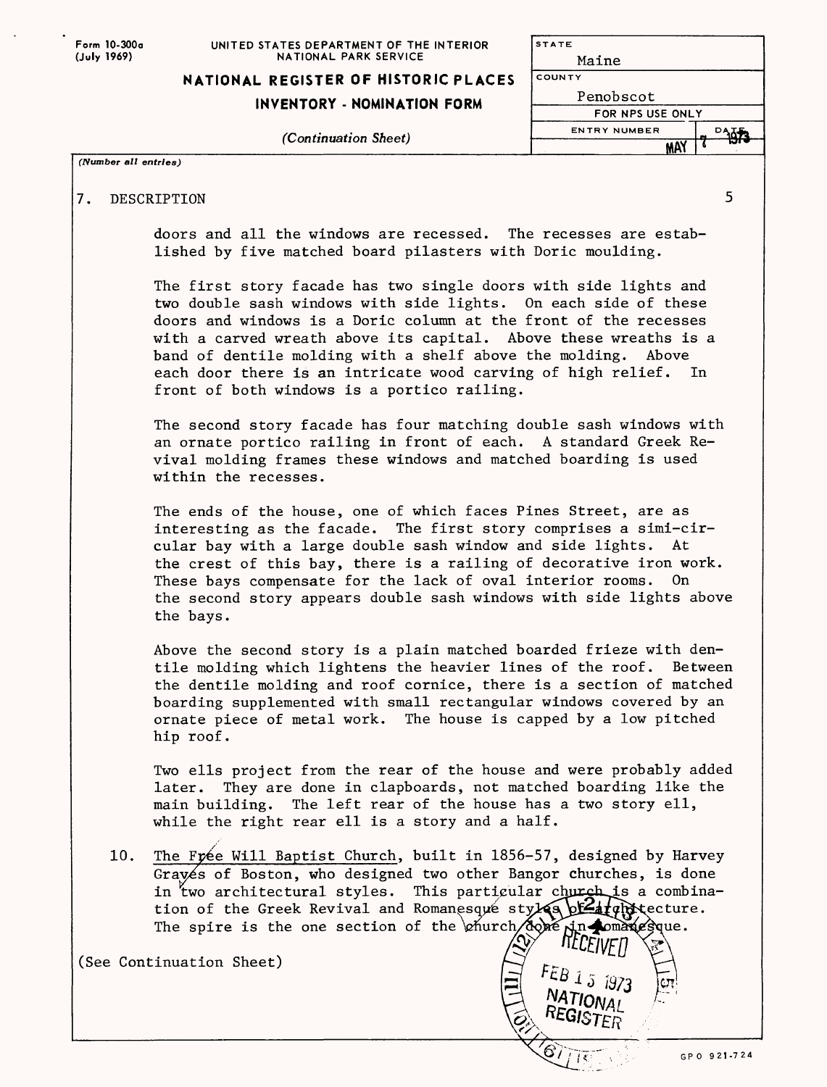| Form 10-300a |
|--------------|
| (July 1969)  |

#### **UNITED STATES DEPARTMENT OF THE INTERIOR NATIONAL PARK SERVICE**

### **INVENTORY - NOMINATION FORM**

*(Continuation Sheet)*

| STATE                   |    |
|-------------------------|----|
| Maine                   |    |
| COUNTY                  |    |
| Penobscot               |    |
| <b>FOR NPS USE ONLY</b> |    |
| <b>ENTRY NUMBER</b>     | DA |
|                         |    |
|                         |    |

### *(Number all entries)*

## 7. DESCRIPTION 5

doors and all the windows are recessed. The recesses are established by five matched board pilasters with Doric moulding.

The first story facade has two single doors with side lights and two double sash windows with side lights. On each side of these doors and windows is a Doric column at the front of the recesses with a carved wreath above its capital. Above these wreaths is a band of dentile molding with a shelf above the molding. Above each door there is an intricate wood carving of high relief. In front of both windows is a portico railing.

The second story facade has four matching double sash windows with an ornate portico railing in front of each. A standard Greek Revival molding frames these windows and matched boarding is used within the recesses.

The ends of the house, one of which faces Pines Street, are as interesting as the facade. The first story comprises a simi-circular bay with a large double sash window and side lights. At the crest of this bay, there is a railing of decorative iron work. These bays compensate for the lack of oval interior rooms. On the second story appears double sash windows with side lights above the bays.

Above the second story is a plain matched boarded frieze with dentile molding which lightens the heavier lines of the roof. Between the dentile molding and roof cornice, there is a section of matched boarding supplemented with small rectangular windows covered by an ornate piece of metal work. The house is capped by a low pitched hip roof.

Two ells project from the rear of the house and were probably added later. They are done in clapboards, not matched boarding like the main building. The left rear of the house has a two story ell, while the right rear ell is a story and a half.

 $\grave{\!\!\vartriangle}$ 

 $FEB$  1 5 1973 NATIONAL

10. The Frée Will Baptist Church, built in 1856-57, designed by Harvey Graves of Boston, who designed two other Bangor churches, is done in two architectural styles. This particular church is a combination of the Greek Revival and Romanesque styles  $\frac{b^2}{d}$  ( $\frac{d}{d}$ ) (ecture. The spire is the one section of the  $\phi$  intrinsical pomanic sque. **TELEIVET** 

(See Continuation Sheet)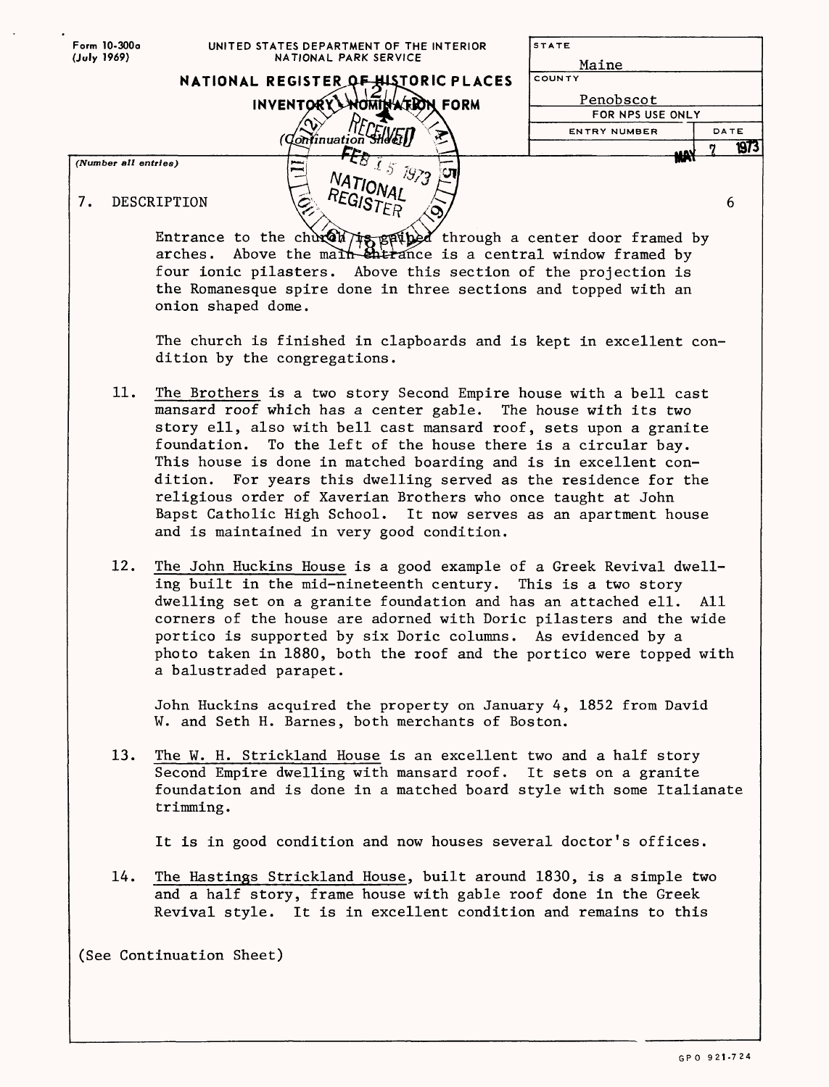| Form 10-300a               | UNITED STATES DEPARTMENT OF THE INTERIOR                                                                                                                                                                                                                                                     | <b>STATE</b>        |      |
|----------------------------|----------------------------------------------------------------------------------------------------------------------------------------------------------------------------------------------------------------------------------------------------------------------------------------------|---------------------|------|
| (July 1969)                | NATIONAL PARK SERVICE                                                                                                                                                                                                                                                                        | Maine               |      |
|                            | NATIONAL REGISTER OF HISTORIC PLACES                                                                                                                                                                                                                                                         | COUNTY              |      |
|                            | INVENTORY WOMINATEDN FORM                                                                                                                                                                                                                                                                    | Penobscot           |      |
|                            |                                                                                                                                                                                                                                                                                              | FOR NPS USE ONLY    |      |
|                            |                                                                                                                                                                                                                                                                                              | <b>ENTRY NUMBER</b> | DATE |
|                            | 'Qonfinuation SH&Et)                                                                                                                                                                                                                                                                         |                     | 1973 |
| (Number all entries)<br>7. | $-51572$<br>بسمع<br>إسما<br>$^{NATIONAI}$<br>$^{\textit{REG}}$ ISTER<br>DESCRIPTION                                                                                                                                                                                                          |                     | 6    |
|                            | Entrance to the church is spained through a center door framed by arches. Above the main that all the is a central window framed by<br>four ionic pilasters. Above this section of the projection is<br>the Romanesque spire done in three sections and topped with an<br>onion shaped dome. |                     |      |

The church is finished in clapboards and is kept in excellent condition by the congregations.

- 11. The Brothers is a two story Second Empire house with a bell cast mansard roof which has a center gable. The house with its two story ell, also with bell cast mansard roof, sets upon a granite foundation. To the left of the house there is a circular bay. This house is done in matched boarding and is in excellent condition. For years this dwelling served as the residence for the religious order of Xaverian Brothers who once taught at John Bapst Catholic High School. It now serves as an apartment house and is maintained in very good condition.
- 12. The John Huckins House is a good example of a Greek Revival dwelling built in the mid-nineteenth century. This is a two story dwelling set on a granite foundation and has an attached ell. All corners of the house are adorned with Doric pilasters and the wide portico is supported by six Doric columns. As evidenced by a photo taken in 1880, both the roof and the portico were topped with a balustraded parapet.

John Huckins acquired the property on January 4, 1852 from David W. and Seth H. Barnes, both merchants of Boston.

13. The W. H. Strickland House is an excellent two and a half story Second Empire dwelling with mansard roof. It sets on a granite foundation and is done in a matched board style with some Italianate trimming.

It is in good condition and now houses several doctor's offices.

14. The Hastings Strickland House, built around 1830, is a simple two and a half story, frame house with gable roof done in the Greek Revival style. It is in excellent condition and remains to this

(See Continuation Sheet)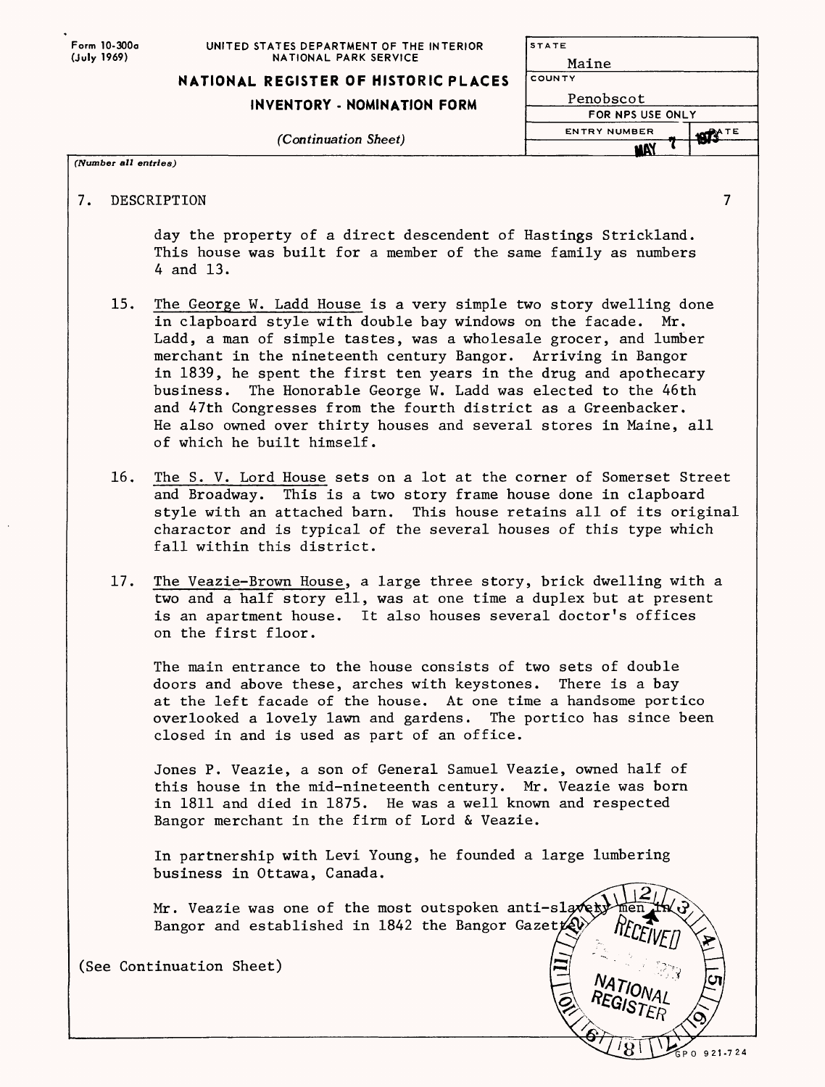| Form 10-300a |
|--------------|
| (July 1969)  |

| NATIONAL REGISTER OF HISTORIC PLACES |
|--------------------------------------|
|--------------------------------------|

# **INVENTORY - NOMINATION F**

*(Continuation Sheet)*

| <b>ERIOR</b>  | <b>STATE</b>        |                |
|---------------|---------------------|----------------|
|               | Maine               |                |
| <b>PLACES</b> | COUNTY              |                |
| ORM           | Penobscot           |                |
|               | FOR NPS USE ONLY    |                |
|               | <b>ENTRY NUMBER</b> | <b>1974</b> TE |
|               | nv                  |                |

*(Number all entries)*

PO 921-724

7. DESCRIPTION 7

day the property of a direct descendent of Hastings Strickland. This house was built for a member of the same family as numbers 4 and 13.

- 15. The George W. Ladd House is a very simple two story dwelling done in clapboard style with double bay windows on the facade. Mr. Ladd, a man of simple tastes, was a wholesale grocer, and lumber merchant in the nineteenth century Bangor. Arriving in Bangor in 1839, he spent the first ten years in the drug and apothecary business. The Honorable George W. Ladd was elected to the 46th and 47th Congresses from the fourth district as a Greenbacker. He also owned over thirty houses and several stores in Maine, all of which he built himself.
- 16. The S. V. Lord House sets on a lot at the corner of Somerset Street and Broadway. This is a two story frame house done in clapboard style with an attached barn. This house retains all of its original character and is typical of the several houses of this type which fall within this district.
- 17. The Veazie-Brown House, a large three story, brick dwelling with a two and a half story ell, was at one time a duplex but at present is an apartment house. It also houses several doctor's offices on the first floor.

The main entrance to the house consists of two sets of double doors and above these, arches with keystones. There is a bay at the left facade of the house. At one time a handsome portico overlooked a lovely lawn and gardens. The portico has since been closed in and is used as part of an office.

Jones P. Veazie, a son of General Samuel Veazie, owned half of this house in the mid-nineteenth century. Mr. Veazie was born in 1811 and died in 1875. He was a well known and respected Bangor merchant in the firm of Lord & Veazie.

In partnership with Levi Young, he founded a large lumbering business in Ottawa, Canada.

Mr. Veazie was one of the most outspoken anti-sl Bangor and established in 1842 the Bangor Gazet $\mathcal{L}$ 

(See Continuation Sheet)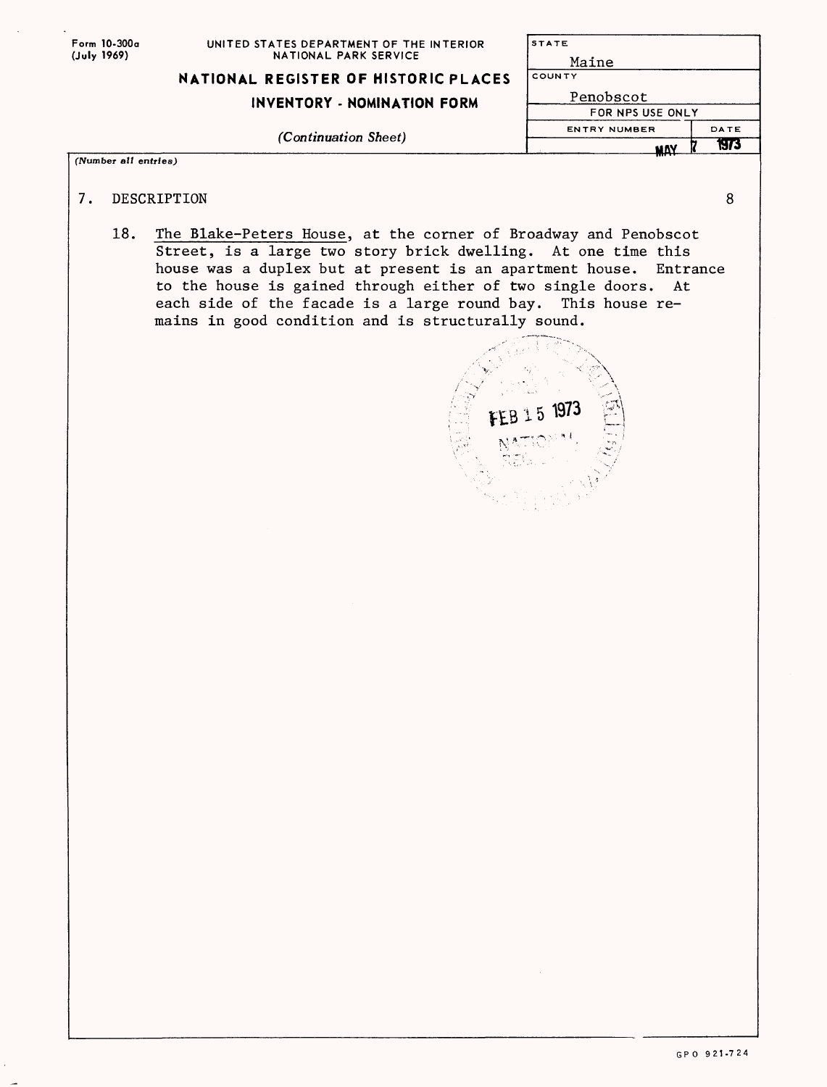| Form 10-300a |
|--------------|
| (July 1969)  |

|                                                                   | MAY                 | 1973 |
|-------------------------------------------------------------------|---------------------|------|
| (Continuation Sheet)                                              | <b>ENTRY NUMBER</b> | DATE |
|                                                                   | FOR NPS USE ONLY    |      |
| INVENTORY - NOMINATION FORM                                       | Penobscot           |      |
| NATIONAL REGISTER OF HISTORIC PLACES                              | COUNTY              |      |
|                                                                   | Maine               |      |
| UNITED STATES DEPARTMENT OF THE INTERIOR<br>NATIONAL PARK SERVICE | <b>STATE</b>        |      |

*(Number all entries)*

- 7. DESCRIPTION 8
	-
	- 18. The Blake-Peters House, at the corner of Broadway and Penobscot Street, is a large two story brick dwelling. At one time this house was a duplex but at present is an apartment house. Entrance to the house is gained through either of two single doors. At each side of the facade is a large round bay. This house remains in good condition and is structurally sound.

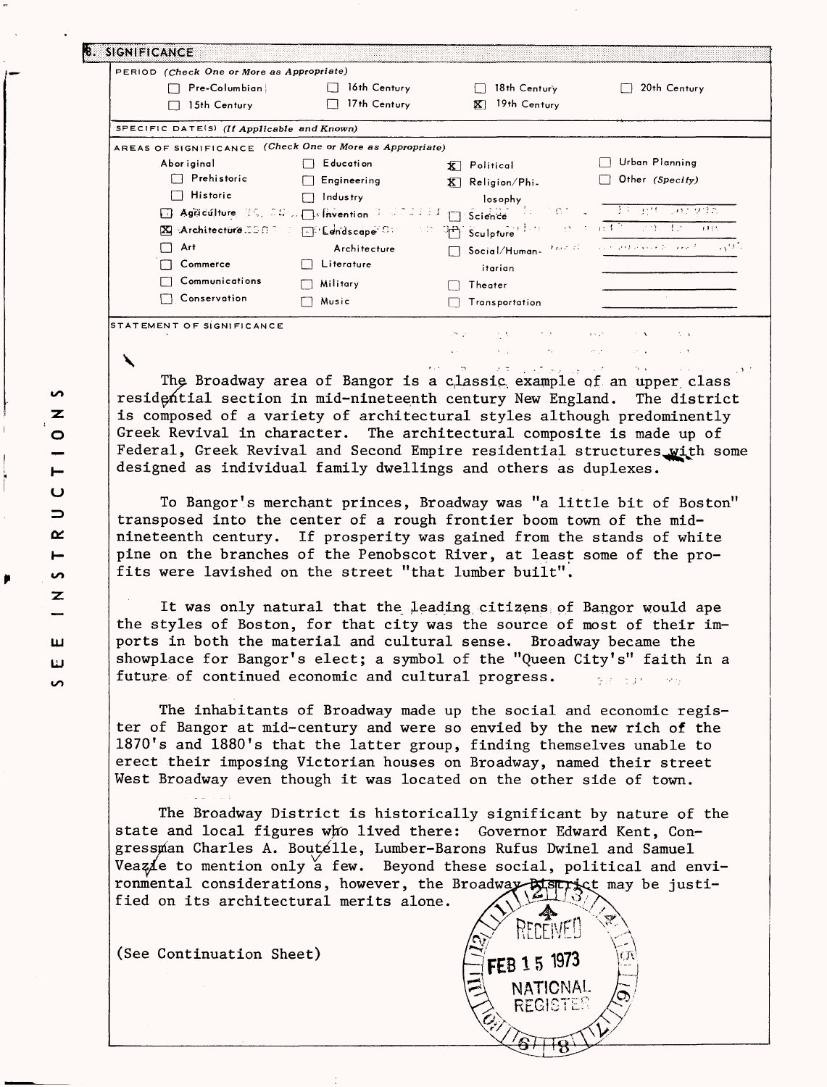| PERIOD (Check One or More as Appropriate)                |              |                                                                                               |                                                                                                        |
|----------------------------------------------------------|--------------|-----------------------------------------------------------------------------------------------|--------------------------------------------------------------------------------------------------------|
| Pre-Columbian                                            | 16th Century | 18th Century                                                                                  | 20th Century                                                                                           |
| 15th Century                                             | 17th Century | 19th Century<br>$ \overline{\mathbf{X}} $                                                     |                                                                                                        |
| SPECIFIC DATE(S) (If Applicable and Known)               |              |                                                                                               |                                                                                                        |
| AREAS OF SIGNIFICANCE (Check One or More as Appropriate) |              |                                                                                               |                                                                                                        |
| Abor iginal                                              | E ducati on  | $\overline{\mathbf{X}}$ Political                                                             | Urban Planning                                                                                         |
| $\Box$ Prehistoric                                       | Engineering  | $\overline{K}$ Religion/Phi.                                                                  | Other (Specify)                                                                                        |
| $\Box$ Historic                                          | Industry     | losophy                                                                                       |                                                                                                        |
|                                                          |              | B Agaculture 19, 00% Defivention 1 00000 1   Science 100000                                   | - 그 초의 31년 - 10 <i>1 9</i> 72 C                                                                        |
|                                                          |              | X :Architecture.ISBP : EP Lendscape C: C Pre Sculpture <sup>(194</sup> ) : O P : 047 29 13 09 |                                                                                                        |
| Art                                                      | Architecture |                                                                                               | Social/Human- $2\omega\sigma\beta$ , we advance $2\omega\alpha\sigma\beta$ , $\alpha\gamma\beta\gamma$ |
| Commerce                                                 | Literature   | itarian                                                                                       |                                                                                                        |
| Communications                                           | Military     | Theater                                                                                       |                                                                                                        |
| Conservation                                             | Music        | Transportation                                                                                |                                                                                                        |
|                                                          |              |                                                                                               |                                                                                                        |

The Broadway area of Bangor is a classic example of an upper class residential section in mid-nineteenth century New England. The district is composed of a variety of architectural styles although predominently Greek Revival in character. The architectural composite is made up of Federal, Greek Revival and Second Empire residential structures\_with some designed as individual family dwellings and others as duplexes.

To Bangor's merchant princes, Broadway was "a little bit of Boston" transposed into the center of a rough frontier boom town of the midnineteenth century. If prosperity was gained from the stands of white pine on the branches of the Penobscot River, at least some of the profits were lavished on the street "that lumber built".

It was only natural that the leading citizens of Bangor would ape the styles of Boston, for that city was the source of most of their imports in both the material and cultural sense. Broadway became the showplace for Bangor's elect; a symbol of the "Queen City's" faith in a future of continued economic and cultural progress.

The inhabitants of Broadway made up the social and economic register of Bangor at mid-century and were so envied by the new rich of the 1870's and 1880's that the latter group, finding themselves unable to erect their imposing Victorian houses on Broadway, named their street West Broadway even though it was located on the other side of town.

The Broadway District is historically significant by nature of the state and local figures who lived there: Governor Edward Kent, Congressnian Charles A. Boute'lle, Lumber-Barons Rufus Dwinel and Samuel Veazie to mention only a few. Beyond these social, political and environmental considerations, however, the Broadway- $\frac{1}{N}$ Strict may be justified on its architectural merits alone.

RECEIVE!

NATIONAL REGISTE

FEB 15 1973

(See Continuation Sheet)

S Z O

Ō  $\Rightarrow$ œ  $\blacksquare$ ίÓ, Z

ш Ш  $\mathbf{v}$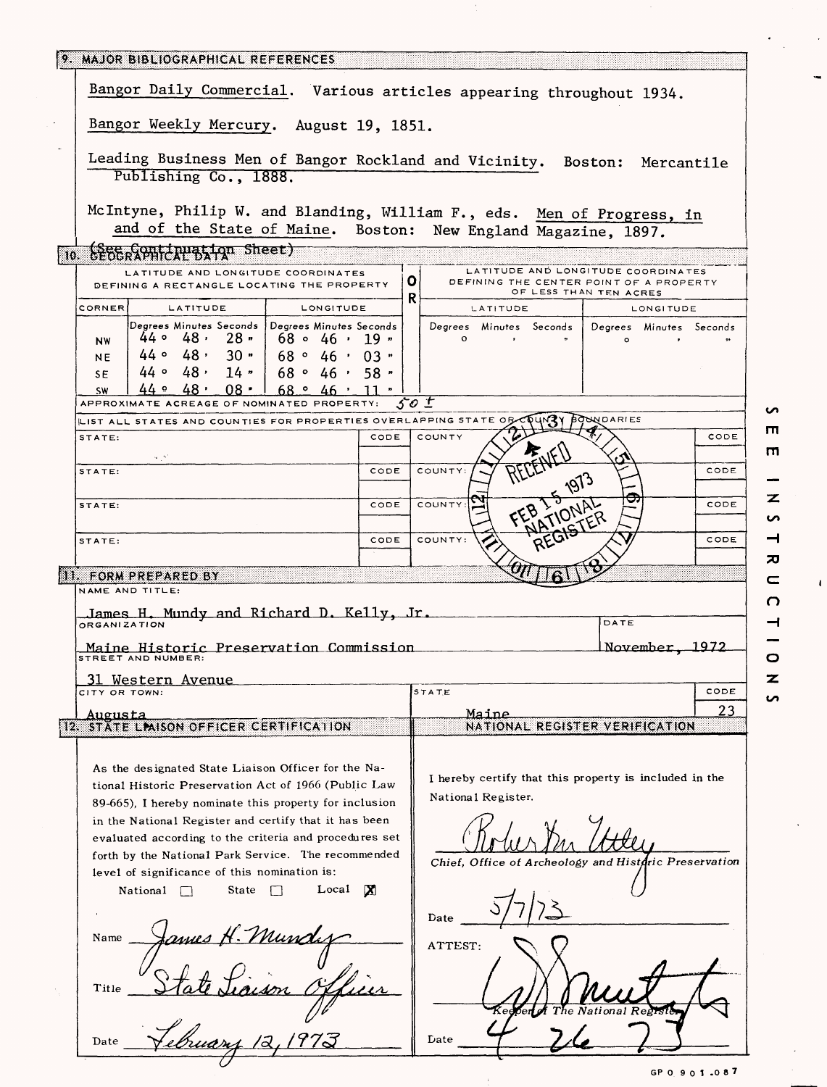|                                                                                                                                                                                                                      |      | Bangor Daily Commercial. Various articles appearing throughout 1934.                                                                     |
|----------------------------------------------------------------------------------------------------------------------------------------------------------------------------------------------------------------------|------|------------------------------------------------------------------------------------------------------------------------------------------|
| Bangor Weekly Mercury. August 19, 1851.                                                                                                                                                                              |      |                                                                                                                                          |
| Publishing Co., 1888.                                                                                                                                                                                                |      | Leading Business Men of Bangor Rockland and Vicinity. Boston: Mercantile                                                                 |
|                                                                                                                                                                                                                      |      | McIntyne, Philip W. and Blanding, William F., eds. Men of Progress, in<br>and of the State of Maine. Boston: New England Magazine, 1897. |
| ြစ္ မွန္စိမ္ေတြေကာင္စြန္႔က Sheet)                                                                                                                                                                                    |      |                                                                                                                                          |
| LATITUDE AND LONGITUDE COORDINATES<br>DEFINING A RECTANGLE LOCATING THE PROPERTY                                                                                                                                     |      | LATITUDE AND LONGITUDE COORDINATES<br>0<br>DEFINING THE CENTER POINT OF A PROPERTY<br>OF LESS THAN TEN ACRES                             |
| <b>CORNER</b><br>LATITUDE<br>LONGITUDE                                                                                                                                                                               |      | R.<br>LATITUDE<br>LONGITUDE                                                                                                              |
| Degrees Minutes Seconds Degrees Minutes Seconds<br>$44 \circ 48$ , 28,<br>$168 \circ 46 \cdot 19$<br><b>NW</b><br>$44 \circ 48 \cdot 30$ "<br>168°46'03"<br>NE.<br>$44 \circ 48 \cdot 14$<br>168°46'58"<br><b>SE</b> |      | Degrees Minutes Seconds<br>Degrees Minutes Seconds<br>$\circ$<br>$\Omega$                                                                |
| $44$ $9$ $48$ $08$ $168$ $946$ $11$ $1$<br><b>SW</b>                                                                                                                                                                 |      |                                                                                                                                          |
| APPROXIMATE ACREAGE OF NOMINATED PROPERTY:                                                                                                                                                                           |      | 50 I                                                                                                                                     |
| LIST ALL STATES AND COUNTIES FOR PROPERTIES OVERLAPPING STATE OR<br>STATE:                                                                                                                                           | CODE | <b>BOUNDARIES</b><br>COUNTY<br>CODE                                                                                                      |
|                                                                                                                                                                                                                      |      |                                                                                                                                          |
| STATE:                                                                                                                                                                                                               | CODE | COUNTY:<br>CODE                                                                                                                          |
| STATE:                                                                                                                                                                                                               | CODE | COUNTY:<br>CODE<br><b>FIATIONAL</b>                                                                                                      |
| STATE:                                                                                                                                                                                                               | CODE | COUNTY:<br>CODE                                                                                                                          |
| 11. FORM PREPARED BY                                                                                                                                                                                                 |      |                                                                                                                                          |
| NAME AND TITLE:                                                                                                                                                                                                      |      |                                                                                                                                          |
| James H. Mundy and Richard D. Kelly, Jr.                                                                                                                                                                             |      |                                                                                                                                          |
| ORGANIZATION                                                                                                                                                                                                         |      | DATE                                                                                                                                     |
| Maine Historic Preservation Commission<br>STREET AND NUMBER:                                                                                                                                                         |      | November 1972                                                                                                                            |
| <u>Avenue</u><br>Western<br>CITY OR TOWN:                                                                                                                                                                            |      | <b>STATE</b><br>CODE                                                                                                                     |
| Augusta                                                                                                                                                                                                              |      | 23<br>Maine                                                                                                                              |
|                                                                                                                                                                                                                      |      | NATIONAL REGISTER VERIFICATION                                                                                                           |
| STATE LIMISON OFFICER CERTIFICATION                                                                                                                                                                                  |      |                                                                                                                                          |
| 82.                                                                                                                                                                                                                  |      |                                                                                                                                          |
| As the designated State Liaison Officer for the Na-                                                                                                                                                                  |      |                                                                                                                                          |
| tional Historic Preservation Act of 1966 (Public Law                                                                                                                                                                 |      | I hereby certify that this property is included in the<br>National Register.                                                             |
| 89-665), I hereby nominate this property for inclusion                                                                                                                                                               |      |                                                                                                                                          |
| in the National Register and certify that it has been                                                                                                                                                                |      |                                                                                                                                          |
| evaluated according to the criteria and procedures set                                                                                                                                                               |      |                                                                                                                                          |
| forth by the National Park Service. The recommended<br>level of significance of this nomination is:                                                                                                                  |      | Chief, Office of Archeology and Histaric Preservation                                                                                    |
| Local<br>State<br>National                                                                                                                                                                                           | LXI. |                                                                                                                                          |
|                                                                                                                                                                                                                      |      | Date                                                                                                                                     |
| Name                                                                                                                                                                                                                 |      |                                                                                                                                          |
| Munc                                                                                                                                                                                                                 |      | ATTEST:                                                                                                                                  |
| Title                                                                                                                                                                                                                |      |                                                                                                                                          |

rn m *•z.* **CO H**  *7Q*  $\mathbf{r}$ n 4 o *-z.* 

 $\mathbf{I}$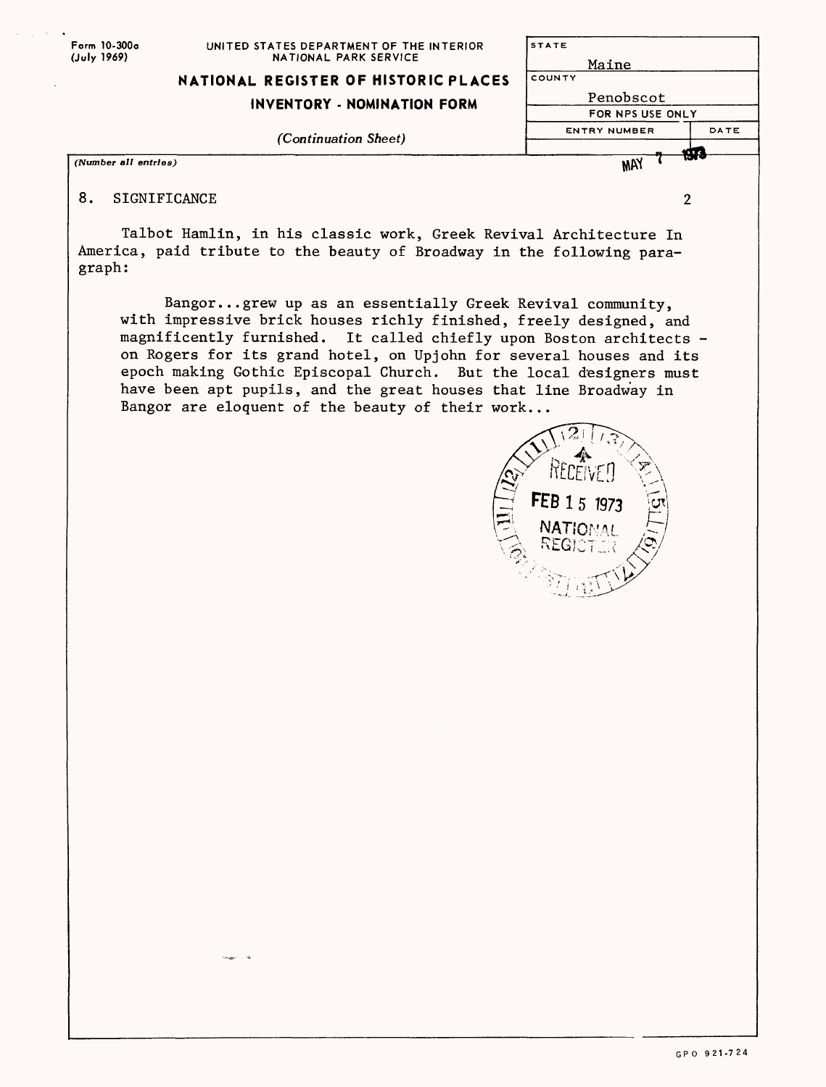| Form 10-300a<br>(July 1969) | UNITED STATES DEPARTMENT OF THE INTERIOR<br>NATIONAL PARK SERVICE | <b>STATE</b><br>Maine |      |
|-----------------------------|-------------------------------------------------------------------|-----------------------|------|
|                             | NATIONAL REGISTER OF HISTORIC PLACES                              | COUNTY                |      |
| INVENTORY - NOMINATION FORM | Penobscot                                                         |                       |      |
|                             |                                                                   | FOR NPS USE ONLY      |      |
|                             | <i>(Continuation Sheet)</i>                                       | <b>ENTRY NUMBER</b>   | DATE |
|                             |                                                                   |                       | m    |
|                             | (Number all entries)                                              | MAY                   |      |
| 8.                          | SIGNIFICANCE                                                      |                       | 2    |

Talbot Hamlin, in his classic work, Greek Revival Architecture In America, paid tribute to the beauty of Broadway in the following paragraph :

Bangor... grew up as an essentially Greek Revival community, with impressive brick houses richly finished, freely designed, and magnificently furnished. It called chiefly upon Boston architects on Rogers for its grand hotel, on Upjohn for several houses and its epoch making Gothic Episcopal Church. But the local designers must have been apt pupils, and the great houses that line Broadway in Bangor are eloquent of the beauty of their work...